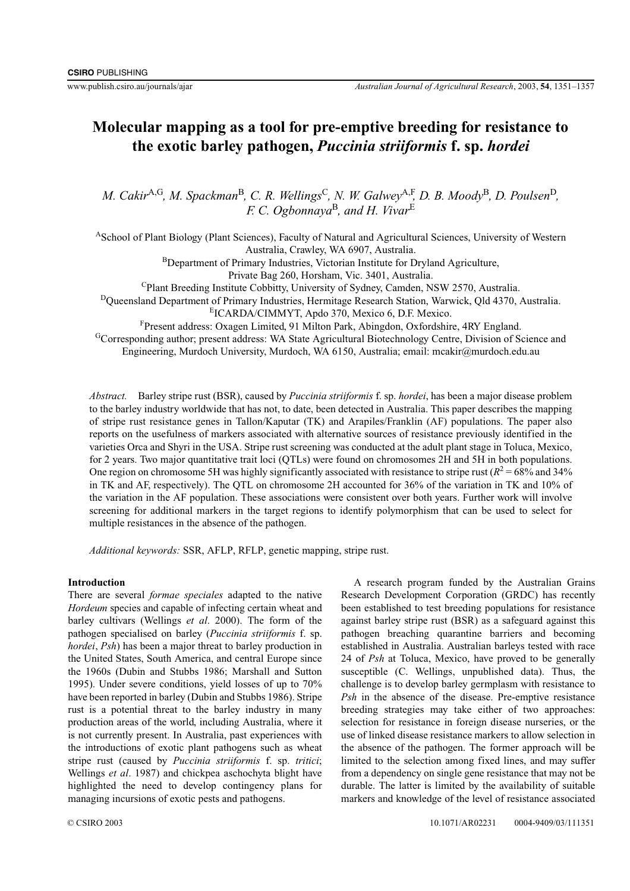# **Molecular mapping as a tool for pre-emptive breeding for resistance to the exotic barley pathogen,** *Puccinia striiformis* **f. sp.** *hordei*

*M. Cakir*<sup>A,G</sup>, *M. Spackman*<sup>B</sup>, *C. R. Wellings<sup>C</sup>, <i>N. W. Galwey*<sup>A,F</sup>, *D. B. Moody*<sup>B</sup>, *D. Poulsen*<sup>D</sup>, *F. C. Ogbonnaya*B*, and H. Vivar*<sup>E</sup>

ASchool of Plant Biology (Plant Sciences), Faculty of Natural and Agricultural Sciences, University of Western Australia, Crawley, WA 6907, Australia. BDepartment of Primary Industries, Victorian Institute for Dryland Agriculture,

Private Bag 260, Horsham, Vic. 3401, Australia.

CPlant Breeding Institute Cobbitty, University of Sydney, Camden, NSW 2570, Australia.

DQueensland Department of Primary Industries, Hermitage Research Station, Warwick, Qld 4370, Australia.

EICARDA/CIMMYT, Apdo 370, Mexico 6, D.F. Mexico.

F Present address: Oxagen Limited, 91 Milton Park, Abingdon, Oxfordshire, 4RY England. GCorresponding author; present address: WA State Agricultural Biotechnology Centre, Division of Science and

Engineering, Murdoch University, Murdoch, WA 6150, Australia; email: mcakir@murdoch.edu.au

*Abstract.* Barley stripe rust (BSR), caused by *Puccinia striiformis* f. sp. *hordei*, has been a major disease problem to the barley industry worldwide that has not, to date, been detected in Australia. This paper describes the mapping of stripe rust resistance genes in Tallon/Kaputar (TK) and Arapiles/Franklin (AF) populations. The paper also reports on the usefulness of markers associated with alternative sources of resistance previously identified in the varieties Orca and Shyri in the USA. Stripe rust screening was conducted at the adult plant stage in Toluca, Mexico, for 2 years. Two major quantitative trait loci (QTLs) were found on chromosomes 2H and 5H in both populations. One region on chromosome 5H was highly significantly associated with resistance to stripe rust ( $R^2$  = 68% and 34%) in TK and AF, respectively). The QTL on chromosome 2H accounted for 36% of the variation in TK and 10% of the variation in the AF population. These associations were consistent over both years. Further work will involve screening for additional markers in the target regions to identify polymorphism that can be used to select for multiple resistances in the absence of the pathogen.

*Additional keywords:* SSR, AFLP, RFLP, genetic mapping, stripe rust.

# **Introduction**

There are several *formae speciales* adapted to the native *Hordeum* species and capable of infecting certain wheat and barley cultivars (Wellings *et al*. 2000). The form of the pathogen specialised on barley (*Puccinia striiformis* f. sp. *hordei*, *Psh*) has been a major threat to barley production in the United States, South America, and central Europe since the 1960s (Dubin and Stubbs 1986; Marshall and Sutton 1995). Under severe conditions, yield losses of up to 70% have been reported in barley (Dubin and Stubbs 1986). Stripe rust is a potential threat to the barley industry in many production areas of the world, including Australia, where it is not currently present. In Australia, past experiences with the introductions of exotic plant pathogens such as wheat stripe rust (caused by *Puccinia striiformis* f. sp. *tritici*; Wellings *et al*. 1987) and chickpea aschochyta blight have highlighted the need to develop contingency plans for managing incursions of exotic pests and pathogens.

A research program funded by the Australian Grains Research Development Corporation (GRDC) has recently been established to test breeding populations for resistance against barley stripe rust (BSR) as a safeguard against this pathogen breaching quarantine barriers and becoming established in Australia. Australian barleys tested with race 24 of *Psh* at Toluca, Mexico, have proved to be generally susceptible (C. Wellings, unpublished data). Thus, the challenge is to develop barley germplasm with resistance to *Psh* in the absence of the disease. Pre-emptive resistance breeding strategies may take either of two approaches: selection for resistance in foreign disease nurseries, or the use of linked disease resistance markers to allow selection in the absence of the pathogen. The former approach will be limited to the selection among fixed lines, and may suffer from a dependency on single gene resistance that may not be durable. The latter is limited by the availability of suitable markers and knowledge of the level of resistance associated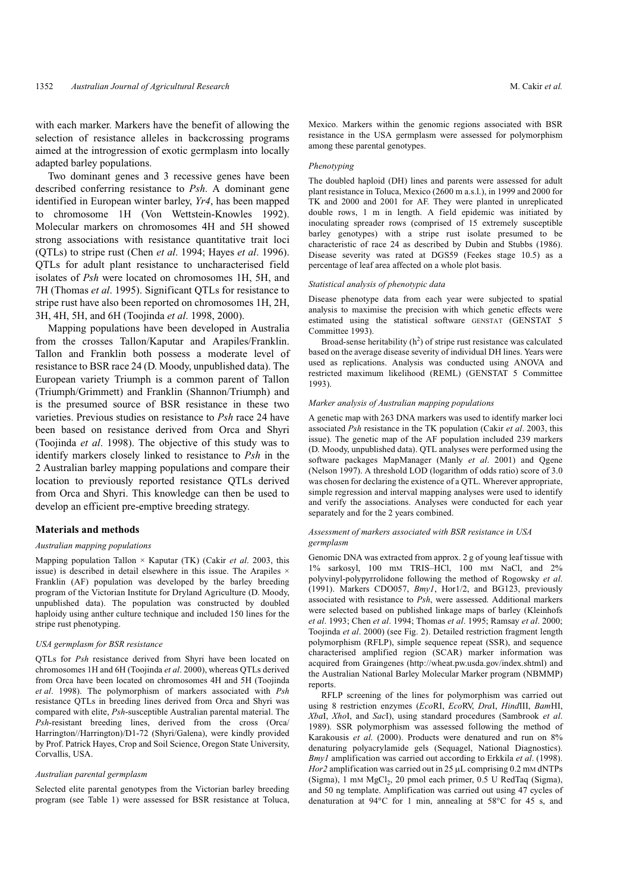with each marker. Markers have the benefit of allowing the selection of resistance alleles in backcrossing programs aimed at the introgression of exotic germplasm into locally adapted barley populations.

Two dominant genes and 3 recessive genes have been described conferring resistance to *Psh*. A dominant gene identified in European winter barley, *Yr4*, has been mapped to chromosome 1H (Von Wettstein-Knowles 1992). Molecular markers on chromosomes 4H and 5H showed strong associations with resistance quantitative trait loci (QTLs) to stripe rust (Chen *et al*. 1994; Hayes *et al*. 1996). QTLs for adult plant resistance to uncharacterised field isolates of *Psh* were located on chromosomes 1H, 5H, and 7H (Thomas *et al*. 1995). Significant QTLs for resistance to stripe rust have also been reported on chromosomes 1H, 2H, 3H, 4H, 5H, and 6H (Toojinda *et al*. 1998, 2000).

Mapping populations have been developed in Australia from the crosses Tallon/Kaputar and Arapiles/Franklin. Tallon and Franklin both possess a moderate level of resistance to BSR race 24 (D. Moody, unpublished data). The European variety Triumph is a common parent of Tallon (Triumph/Grimmett) and Franklin (Shannon/Triumph) and is the presumed source of BSR resistance in these two varieties. Previous studies on resistance to *Psh* race 24 have been based on resistance derived from Orca and Shyri (Toojinda *et al*. 1998). The objective of this study was to identify markers closely linked to resistance to *Psh* in the 2 Australian barley mapping populations and compare their location to previously reported resistance QTLs derived from Orca and Shyri. This knowledge can then be used to develop an efficient pre-emptive breeding strategy.

### **Materials and methods**

#### *Australian mapping populations*

Mapping population Tallon × Kaputar (TK) (Cakir *et al*. 2003, this issue) is described in detail elsewhere in this issue. The Arapiles  $\times$ Franklin (AF) population was developed by the barley breeding program of the Victorian Institute for Dryland Agriculture (D. Moody, unpublished data). The population was constructed by doubled haploidy using anther culture technique and included 150 lines for the stripe rust phenotyping.

## *USA germplasm for BSR resistance*

QTLs for *Psh* resistance derived from Shyri have been located on chromosomes 1H and 6H (Toojinda *et al*. 2000), whereas QTLs derived from Orca have been located on chromosomes 4H and 5H (Toojinda *et al*. 1998). The polymorphism of markers associated with *Psh* resistance QTLs in breeding lines derived from Orca and Shyri was compared with elite, *Psh*-susceptible Australian parental material. The *Psh*-resistant breeding lines, derived from the cross (Orca/ Harrington//Harrington)/D1-72 (Shyri/Galena), were kindly provided by Prof. Patrick Hayes, Crop and Soil Science, Oregon State University, Corvallis, USA.

#### *Australian parental germplasm*

Selected elite parental genotypes from the Victorian barley breeding program (see Table 1) were assessed for BSR resistance at Toluca, Mexico. Markers within the genomic regions associated with BSR resistance in the USA germplasm were assessed for polymorphism among these parental genotypes.

# *Phenotyping*

The doubled haploid (DH) lines and parents were assessed for adult plant resistance in Toluca, Mexico (2600 m a.s.l.), in 1999 and 2000 for TK and 2000 and 2001 for AF. They were planted in unreplicated double rows, 1 m in length. A field epidemic was initiated by inoculating spreader rows (comprised of 15 extremely susceptible barley genotypes) with a stripe rust isolate presumed to be characteristic of race 24 as described by Dubin and Stubbs (1986). Disease severity was rated at DGS59 (Feekes stage 10.5) as a percentage of leaf area affected on a whole plot basis.

#### *Statistical analysis of phenotypic data*

Disease phenotype data from each year were subjected to spatial analysis to maximise the precision with which genetic effects were estimated using the statistical software GENSTAT (GENSTAT 5 Committee 1993).

Broad-sense heritability  $(h^2)$  of stripe rust resistance was calculated based on the average disease severity of individual DH lines. Years were used as replications. Analysis was conducted using ANOVA and restricted maximum likelihood (REML) (GENSTAT 5 Committee 1993).

#### *Marker analysis of Australian mapping populations*

A genetic map with 263 DNA markers was used to identify marker loci associated *Psh* resistance in the TK population (Cakir *et al*. 2003, this issue). The genetic map of the AF population included 239 markers (D. Moody, unpublished data). QTL analyses were performed using the software packages MapManager (Manly *et al*. 2001) and Qgene (Nelson 1997). A threshold LOD (logarithm of odds ratio) score of 3.0 was chosen for declaring the existence of a QTL. Wherever appropriate, simple regression and interval mapping analyses were used to identify and verify the associations. Analyses were conducted for each year separately and for the 2 years combined.

### *Assessment of markers associated with BSR resistance in USA germplasm*

Genomic DNA was extracted from approx. 2 g of young leaf tissue with 1% sarkosyl, 100 mM TRIS–HCl, 100 mM NaCl, and 2% polyvinyl-polypyrrolidone following the method of Rogowsky *et al*. (1991). Markers CDO057, *Bmy1*, Hor1/2, and BG123, previously associated with resistance to *Psh*, were assessed. Additional markers were selected based on published linkage maps of barley (Kleinhofs *et al*. 1993; Chen *et al*. 1994; Thomas *et al*. 1995; Ramsay *et al*. 2000; Toojinda *et al*. 2000) (see Fig. 2). Detailed restriction fragment length polymorphism (RFLP), simple sequence repeat (SSR), and sequence characterised amplified region (SCAR) marker information was acquired from Graingenes (http://wheat.pw.usda.gov/index.shtml) and the Australian National Barley Molecular Marker program (NBMMP) reports.

RFLP screening of the lines for polymorphism was carried out using 8 restriction enzymes (*Eco*RI, *Eco*RV, *Dra*I, *Hind*III, *Bam*HI, *Xba*I, *Xho*I, and *Sac*I), using standard procedures (Sambrook *et al*. 1989). SSR polymorphism was assessed following the method of Karakousis *et al*. (2000). Products were denatured and run on 8% denaturing polyacrylamide gels (Sequagel, National Diagnostics). *Bmy1* amplification was carried out according to Erkkila *et al*. (1998). *Hor2* amplification was carried out in 25 µL comprising 0.2 mM dNTPs (Sigma), 1 mm MgCl<sub>2</sub>, 20 pmol each primer, 0.5 U RedTaq (Sigma), and 50 ng template. Amplification was carried out using 47 cycles of denaturation at 94°C for 1 min, annealing at 58°C for 45 s, and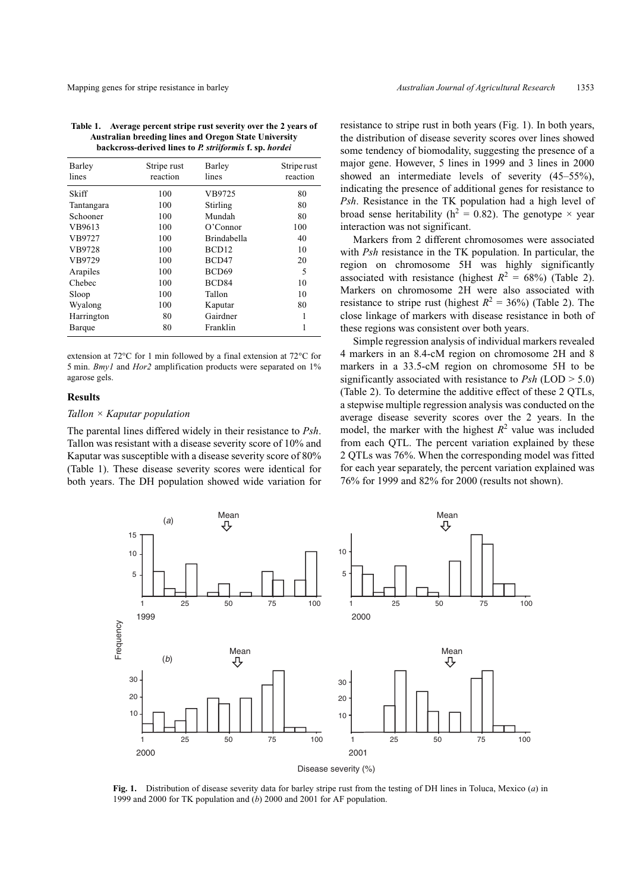| Barley<br>lines | Stripe rust<br>reaction | Barley<br>lines   | Striperust<br>reaction |  |
|-----------------|-------------------------|-------------------|------------------------|--|
| Skiff           | 100                     | VB9725            | 80                     |  |
| Tantangara      | 100                     | Stirling          | 80                     |  |
| Schooner        | 100                     | Mundah            | 80                     |  |
| VB9613          | 100                     | O'Connect         | 100                    |  |
| VB9727          | 100                     | Brindabella       | 40                     |  |
| VB9728          | 100                     | BCD <sub>12</sub> | 10                     |  |
| VB9729          | 100                     | BCD47             | 20                     |  |
| Arapiles        | 100                     | BCD <sub>69</sub> | 5                      |  |
| Chebec          | 100                     | BCD <sub>84</sub> | 10                     |  |
| Sloop           | 100                     | Tallon            | 10                     |  |
| Wyalong         | 100                     | Kaputar           | 80                     |  |
| Harrington      | 80                      | Gairdner          | 1                      |  |
| Barque          | 80                      | Franklin          | 1                      |  |

extension at 72°C for 1 min followed by a final extension at 72°C for 5 min. *Bmy1* and *Hor2* amplification products were separated on 1% agarose gels.

# **Results**

# *Tallon × Kaputar population*

The parental lines differed widely in their resistance to *Psh*. Tallon was resistant with a disease severity score of 10% and Kaputar was susceptible with a disease severity score of 80% (Table 1). These disease severity scores were identical for both years. The DH population showed wide variation for resistance to stripe rust in both years (Fig. 1). In both years, the distribution of disease severity scores over lines showed some tendency of biomodality, suggesting the presence of a major gene. However, 5 lines in 1999 and 3 lines in 2000 showed an intermediate levels of severity (45–55%), indicating the presence of additional genes for resistance to *Psh*. Resistance in the TK population had a high level of broad sense heritability ( $h^2 = 0.82$ ). The genotype  $\times$  year interaction was not significant.

Markers from 2 different chromosomes were associated with *Psh* resistance in the TK population. In particular, the region on chromosome 5H was highly significantly associated with resistance (highest  $R^2 = 68\%$ ) (Table 2). Markers on chromosome 2H were also associated with resistance to stripe rust (highest  $R^2 = 36\%$ ) (Table 2). The close linkage of markers with disease resistance in both of these regions was consistent over both years.

Simple regression analysis of individual markers revealed 4 markers in an 8.4-cM region on chromosome 2H and 8 markers in a 33.5-cM region on chromosome 5H to be significantly associated with resistance to *Psh* (LOD > 5.0) (Table 2). To determine the additive effect of these 2 QTLs, a stepwise multiple regression analysis was conducted on the average disease severity scores over the 2 years. In the model, the marker with the highest  $R^2$  value was included from each QTL. The percent variation explained by these 2 QTLs was 76%. When the corresponding model was fitted for each year separately, the percent variation explained was 76% for 1999 and 82% for 2000 (results not shown).



**Fig. 1.** Distribution of disease severity data for barley stripe rust from the testing of DH lines in Toluca, Mexico (*a*) in 1999 and 2000 for TK population and (*b*) 2000 and 2001 for AF population.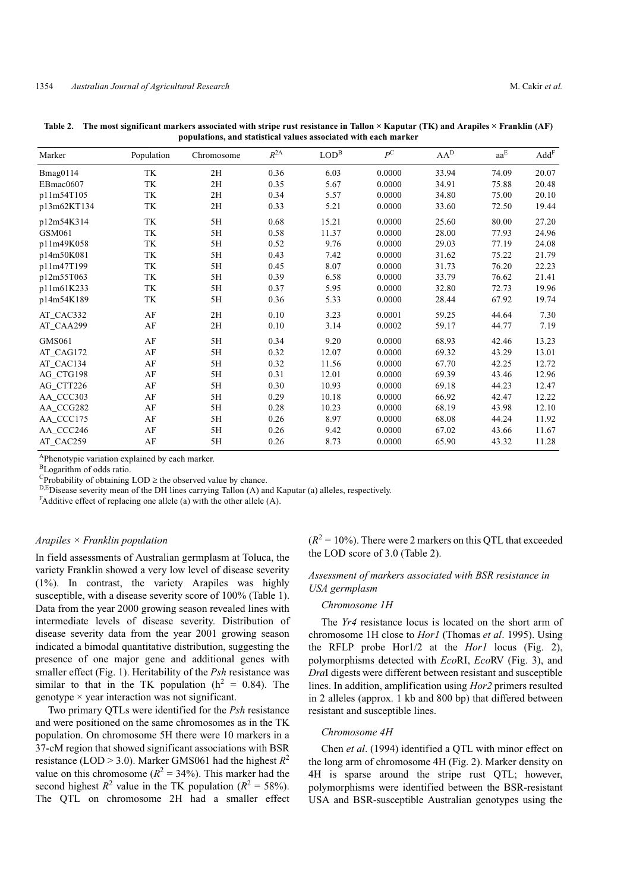| Marker        | Population | Chromosome    | $R^{2A}$ | LOD <sup>B</sup> | $P^{\rm C}$ | $AA^D$ | $aa^{\rm E}$ | $\mathrm{Add}^{\mathrm{F}}$ |
|---------------|------------|---------------|----------|------------------|-------------|--------|--------------|-----------------------------|
| Bmag0114      | TK         | 2H            | 0.36     | 6.03             | 0.0000      | 33.94  | 74.09        | 20.07                       |
| EBmac0607     | TK         | 2H            | 0.35     | 5.67             | 0.0000      | 34.91  | 75.88        | 20.48                       |
| p11m54T105    | TK         | 2H            | 0.34     | 5.57             | 0.0000      | 34.80  | 75.00        | 20.10                       |
| p13m62KT134   | TK         | 2H            | 0.33     | 5.21             | 0.0000      | 33.60  | 72.50        | 19.44                       |
| p12m54K314    | TK         | 5H            | 0.68     | 15.21            | 0.0000      | 25.60  | 80.00        | 27.20                       |
| GSM061        | TK         | 5H            | 0.58     | 11.37            | 0.0000      | 28.00  | 77.93        | 24.96                       |
| p11m49K058    | TK         | 5H            | 0.52     | 9.76             | 0.0000      | 29.03  | 77.19        | 24.08                       |
| p14m50K081    | TK         | 5H            | 0.43     | 7.42             | 0.0000      | 31.62  | 75.22        | 21.79                       |
| p11m47T199    | TK         | 5H            | 0.45     | 8.07             | 0.0000      | 31.73  | 76.20        | 22.23                       |
| p12m55T063    | TK         | 5H            | 0.39     | 6.58             | 0.0000      | 33.79  | 76.62        | 21.41                       |
| p11m61K233    | TK         | 5H            | 0.37     | 5.95             | 0.0000      | 32.80  | 72.73        | 19.96                       |
| p14m54K189    | TK         | 5H            | 0.36     | 5.33             | 0.0000      | 28.44  | 67.92        | 19.74                       |
| AT_CAC332     | AF         | 2H            | 0.10     | 3.23             | 0.0001      | 59.25  | 44.64        | 7.30                        |
| AT_CAA299     | AF         | 2H            | 0.10     | 3.14             | 0.0002      | 59.17  | 44.77        | 7.19                        |
| <b>GMS061</b> | $\rm AF$   | 5H            | 0.34     | 9.20             | 0.0000      | 68.93  | 42.46        | 13.23                       |
| AT_CAG172     | AF         | 5H            | 0.32     | 12.07            | 0.0000      | 69.32  | 43.29        | 13.01                       |
| AT_CAC134     | AF         | 5H            | 0.32     | 11.56            | 0.0000      | 67.70  | 42.25        | 12.72                       |
| AG_CTG198     | $\rm AF$   | $5\mathrm{H}$ | 0.31     | 12.01            | 0.0000      | 69.39  | 43.46        | 12.96                       |
| AG CTT226     | AF         | 5H            | 0.30     | 10.93            | 0.0000      | 69.18  | 44.23        | 12.47                       |
| AA_CCC303     | AF         | 5H            | 0.29     | 10.18            | 0.0000      | 66.92  | 42.47        | 12.22                       |
| AA_CCG282     | $\rm AF$   | 5H            | 0.28     | 10.23            | 0.0000      | 68.19  | 43.98        | 12.10                       |
| AA_CCC175     | AF         | 5H            | 0.26     | 8.97             | 0.0000      | 68.08  | 44.24        | 11.92                       |
| AA_CCC246     | AF         | 5H            | 0.26     | 9.42             | 0.0000      | 67.02  | 43.66        | 11.67                       |
| AT CAC259     | AF         | 5H            | 0.26     | 8.73             | 0.0000      | 65.90  | 43.32        | 11.28                       |

**Table 2. The most significant markers associated with stripe rust resistance in Tallon × Kaputar (TK) and Arapiles × Franklin (AF) populations, and statistical values associated with each marker**

APhenotypic variation explained by each marker.

<sup>B</sup>Logarithm of odds ratio.

 $C$ Probability of obtaining  $\text{LOD} \geq$  the observed value by chance.

D,EDisease severity mean of the DH lines carrying Tallon (A) and Kaputar (a) alleles, respectively.

 $F$ Additive effect of replacing one allele (a) with the other allele (A).

## *Arapiles × Franklin population*

In field assessments of Australian germplasm at Toluca, the variety Franklin showed a very low level of disease severity (1%). In contrast, the variety Arapiles was highly susceptible, with a disease severity score of 100% (Table 1). Data from the year 2000 growing season revealed lines with intermediate levels of disease severity. Distribution of disease severity data from the year 2001 growing season indicated a bimodal quantitative distribution, suggesting the presence of one major gene and additional genes with smaller effect (Fig. 1). Heritability of the *Psh* resistance was similar to that in the TK population ( $h^2 = 0.84$ ). The genotype  $\times$  year interaction was not significant.

Two primary QTLs were identified for the *Psh* resistance and were positioned on the same chromosomes as in the TK population. On chromosome 5H there were 10 markers in a 37-cM region that showed significant associations with BSR resistance (LOD  $> 3.0$ ). Marker GMS061 had the highest  $R^2$ value on this chromosome ( $R^2 = 34\%$ ). This marker had the second highest  $R^2$  value in the TK population ( $R^2 = 58\%$ ). The QTL on chromosome 2H had a smaller effect  $(R^2 = 10\%)$ . There were 2 markers on this OTL that exceeded the LOD score of 3.0 (Table 2).

# *Assessment of markers associated with BSR resistance in USA germplasm*

#### *Chromosome 1H*

The *Yr4* resistance locus is located on the short arm of chromosome 1H close to *Hor1* (Thomas *et al*. 1995). Using the RFLP probe Hor1/2 at the *Hor1* locus (Fig. 2), polymorphisms detected with *Eco*RI, *Eco*RV (Fig. 3), and *Dra*I digests were different between resistant and susceptible lines. In addition, amplification using *Hor2* primers resulted in 2 alleles (approx. 1 kb and 800 bp) that differed between resistant and susceptible lines.

### *Chromosome 4H*

Chen *et al*. (1994) identified a QTL with minor effect on the long arm of chromosome 4H (Fig. 2). Marker density on 4H is sparse around the stripe rust QTL; however, polymorphisms were identified between the BSR-resistant USA and BSR-susceptible Australian genotypes using the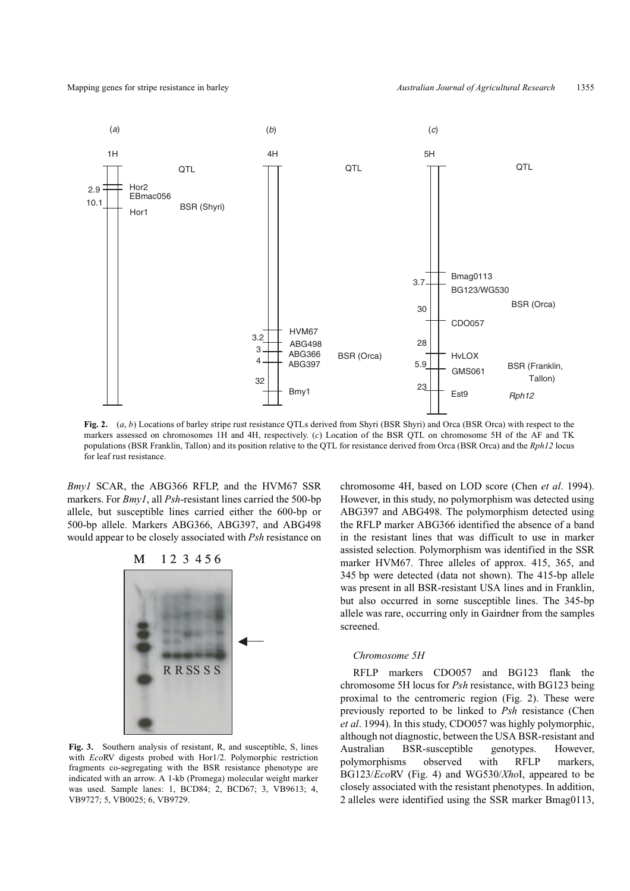

**Fig. 2.** (*a*, *b*) Locations of barley stripe rust resistance QTLs derived from Shyri (BSR Shyri) and Orca (BSR Orca) with respect to the markers assessed on chromosomes 1H and 4H, respectively. (*c*) Location of the BSR QTL on chromosome 5H of the AF and TK populations (BSR Franklin, Tallon) and its position relative to the QTL for resistance derived from Orca (BSR Orca) and the *Rph12* locus for leaf rust resistance.

*Bmy1* SCAR, the ABG366 RFLP, and the HVM67 SSR markers. For *Bmy1*, all *Psh*-resistant lines carried the 500-bp allele, but susceptible lines carried either the 600-bp or 500-bp allele. Markers ABG366, ABG397, and ABG498 would appear to be closely associated with *Psh* resistance on



**Fig. 3.** Southern analysis of resistant, R, and susceptible, S, lines with *Eco*RV digests probed with Hor1/2. Polymorphic restriction fragments co-segregating with the BSR resistance phenotype are indicated with an arrow. A 1-kb (Promega) molecular weight marker was used. Sample lanes: 1, BCD84; 2, BCD67; 3, VB9613; 4, VB9727; 5, VB0025; 6, VB9729.

chromosome 4H, based on LOD score (Chen *et al*. 1994). However, in this study, no polymorphism was detected using ABG397 and ABG498. The polymorphism detected using the RFLP marker ABG366 identified the absence of a band in the resistant lines that was difficult to use in marker assisted selection. Polymorphism was identified in the SSR marker HVM67. Three alleles of approx. 415, 365, and 345 bp were detected (data not shown). The 415-bp allele was present in all BSR-resistant USA lines and in Franklin, but also occurred in some susceptible lines. The 345-bp allele was rare, occurring only in Gairdner from the samples screened.

## *Chromosome 5H*

RFLP markers CDO057 and BG123 flank the chromosome 5H locus for *Psh* resistance, with BG123 being proximal to the centromeric region (Fig. 2). These were previously reported to be linked to *Psh* resistance (Chen *et al*. 1994). In this study, CDO057 was highly polymorphic, although not diagnostic, between the USA BSR-resistant and Australian BSR-susceptible genotypes. However, polymorphisms observed with RFLP markers, BG123/*Eco*RV (Fig. 4) and WG530/*Xho*I, appeared to be closely associated with the resistant phenotypes. In addition, 2 alleles were identified using the SSR marker Bmag0113,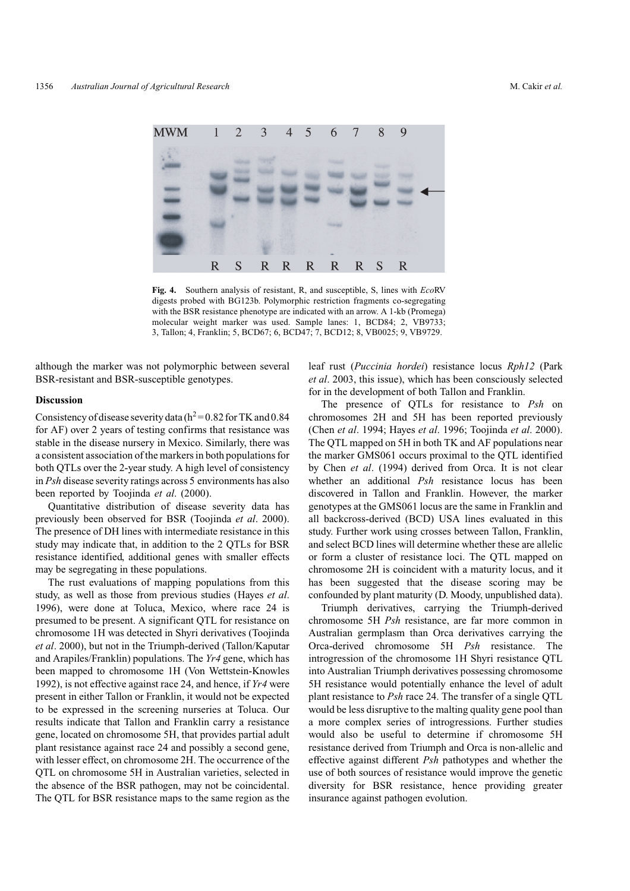

**Fig. 4.** Southern analysis of resistant, R, and susceptible, S, lines with *Eco*RV digests probed with BG123b. Polymorphic restriction fragments co-segregating with the BSR resistance phenotype are indicated with an arrow. A 1-kb (Promega) molecular weight marker was used. Sample lanes: 1, BCD84; 2, VB9733; 3, Tallon; 4, Franklin; 5, BCD67; 6, BCD47; 7, BCD12; 8, VB0025; 9, VB9729.

although the marker was not polymorphic between several BSR-resistant and BSR-susceptible genotypes.

## **Discussion**

Consistency of disease severity data ( $h^2$  = 0.82 for TK and 0.84 for AF) over 2 years of testing confirms that resistance was stable in the disease nursery in Mexico. Similarly, there was a consistent association of the markers in both populations for both QTLs over the 2-year study. A high level of consistency in *Psh* disease severity ratings across 5 environments has also been reported by Toojinda *et al*. (2000).

Quantitative distribution of disease severity data has previously been observed for BSR (Toojinda *et al*. 2000). The presence of DH lines with intermediate resistance in this study may indicate that, in addition to the 2 QTLs for BSR resistance identified, additional genes with smaller effects may be segregating in these populations.

The rust evaluations of mapping populations from this study, as well as those from previous studies (Hayes *et al*. 1996), were done at Toluca, Mexico, where race 24 is presumed to be present. A significant QTL for resistance on chromosome 1H was detected in Shyri derivatives (Toojinda *et al*. 2000), but not in the Triumph-derived (Tallon/Kaputar and Arapiles/Franklin) populations. The *Yr4* gene, which has been mapped to chromosome 1H (Von Wettstein-Knowles 1992), is not effective against race 24, and hence, if *Yr4* were present in either Tallon or Franklin, it would not be expected to be expressed in the screening nurseries at Toluca. Our results indicate that Tallon and Franklin carry a resistance gene, located on chromosome 5H, that provides partial adult plant resistance against race 24 and possibly a second gene, with lesser effect, on chromosome 2H. The occurrence of the QTL on chromosome 5H in Australian varieties, selected in the absence of the BSR pathogen, may not be coincidental. The QTL for BSR resistance maps to the same region as the leaf rust (*Puccinia hordei*) resistance locus *Rph12* (Park *et al*. 2003, this issue), which has been consciously selected for in the development of both Tallon and Franklin.

The presence of QTLs for resistance to *Psh* on chromosomes 2H and 5H has been reported previously (Chen *et al*. 1994; Hayes *et al*. 1996; Toojinda *et al*. 2000). The QTL mapped on 5H in both TK and AF populations near the marker GMS061 occurs proximal to the QTL identified by Chen *et al*. (1994) derived from Orca. It is not clear whether an additional *Psh* resistance locus has been discovered in Tallon and Franklin. However, the marker genotypes at the GMS061 locus are the same in Franklin and all backcross-derived (BCD) USA lines evaluated in this study. Further work using crosses between Tallon, Franklin, and select BCD lines will determine whether these are allelic or form a cluster of resistance loci. The QTL mapped on chromosome 2H is coincident with a maturity locus, and it has been suggested that the disease scoring may be confounded by plant maturity (D. Moody, unpublished data).

Triumph derivatives, carrying the Triumph-derived chromosome 5H *Psh* resistance, are far more common in Australian germplasm than Orca derivatives carrying the Orca-derived chromosome 5H *Psh* resistance. The introgression of the chromosome 1H Shyri resistance QTL into Australian Triumph derivatives possessing chromosome 5H resistance would potentially enhance the level of adult plant resistance to *Psh* race 24. The transfer of a single QTL would be less disruptive to the malting quality gene pool than a more complex series of introgressions. Further studies would also be useful to determine if chromosome 5H resistance derived from Triumph and Orca is non-allelic and effective against different *Psh* pathotypes and whether the use of both sources of resistance would improve the genetic diversity for BSR resistance, hence providing greater insurance against pathogen evolution.